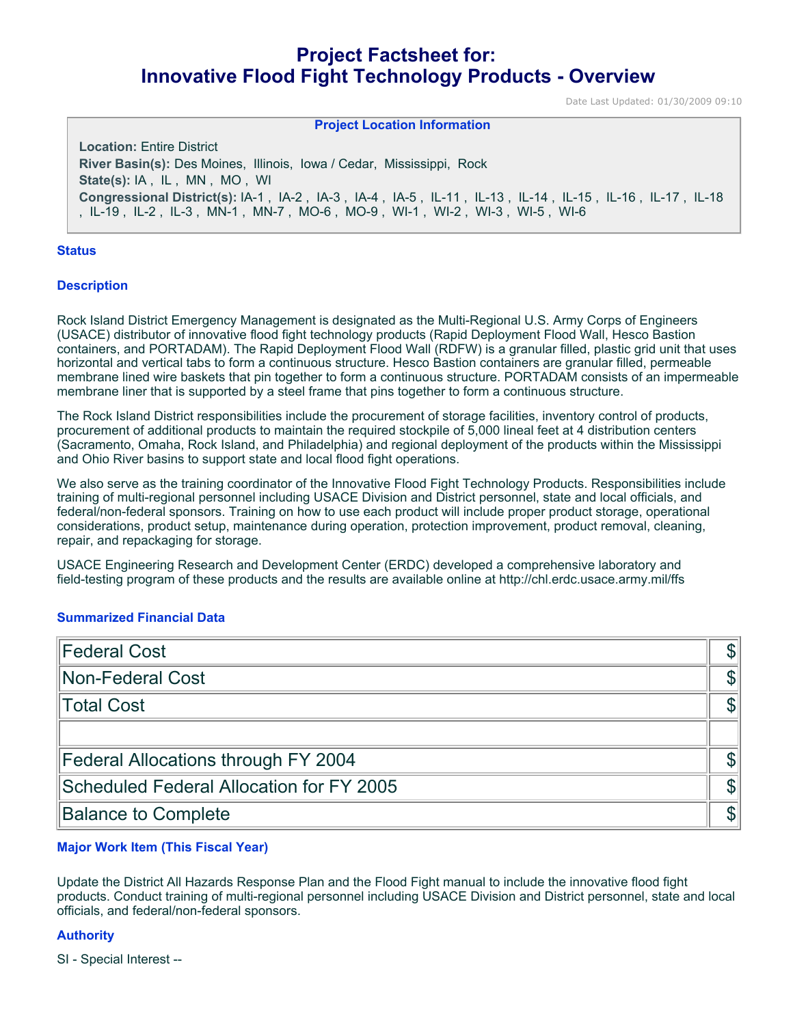# **Project Factsheet for: Innovative Flood Fight Technology Products - Overview**

Date Last Updated: 01/30/2009 09:10

#### **Project Location Information**

**Location:** Entire District **River Basin(s):** Des Moines, Illinois, Iowa / Cedar, Mississippi, Rock **State(s):** IA , IL , MN , MO , WI **Congressional District(s):** IA-1 , IA-2 , IA-3 , IA-4 , IA-5 , IL-11 , IL-13 , IL-14 , IL-15 , IL-16 , IL-17 , IL-18 , IL-19 , IL-2 , IL-3 , MN-1 , MN-7 , MO-6 , MO-9 , WI-1 , WI-2 , WI-3 , WI-5 , WI-6

#### **Status**

#### **Description**

Rock Island District Emergency Management is designated as the Multi-Regional U.S. Army Corps of Engineers (USACE) distributor of innovative flood fight technology products (Rapid Deployment Flood Wall, Hesco Bastion containers, and PORTADAM). The Rapid Deployment Flood Wall (RDFW) is a granular filled, plastic grid unit that uses horizontal and vertical tabs to form a continuous structure. Hesco Bastion containers are granular filled, permeable membrane lined wire baskets that pin together to form a continuous structure. PORTADAM consists of an impermeable membrane liner that is supported by a steel frame that pins together to form a continuous structure.

The Rock Island District responsibilities include the procurement of storage facilities, inventory control of products, procurement of additional products to maintain the required stockpile of 5,000 lineal feet at 4 distribution centers (Sacramento, Omaha, Rock Island, and Philadelphia) and regional deployment of the products within the Mississippi and Ohio River basins to support state and local flood fight operations.

We also serve as the training coordinator of the Innovative Flood Fight Technology Products. Responsibilities include training of multi-regional personnel including USACE Division and District personnel, state and local officials, and federal/non-federal sponsors. Training on how to use each product will include proper product storage, operational considerations, product setup, maintenance during operation, protection improvement, product removal, cleaning, repair, and repackaging for storage.

USACE Engineering Research and Development Center (ERDC) developed a comprehensive laboratory and field-testing program of these products and the results are available online at http://chl.erdc.usace.army.mil/ffs

#### **Summarized Financial Data**

| <b>Federal Cost</b>                             |  |
|-------------------------------------------------|--|
| Non-Federal Cost                                |  |
| Total Cost                                      |  |
|                                                 |  |
| Federal Allocations through FY 2004             |  |
| <b>Scheduled Federal Allocation for FY 2005</b> |  |
| <b>Balance to Complete</b>                      |  |

### **Major Work Item (This Fiscal Year)**

Update the District All Hazards Response Plan and the Flood Fight manual to include the innovative flood fight products. Conduct training of multi-regional personnel including USACE Division and District personnel, state and local officials, and federal/non-federal sponsors.

#### **Authority**

SI - Special Interest --